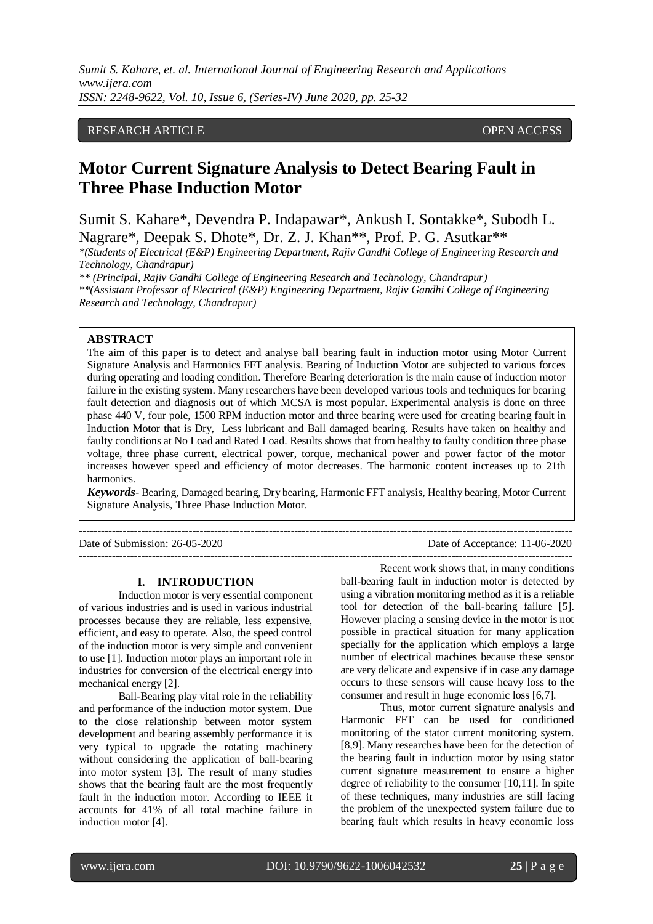## RESEARCH ARTICLE **CONSERVERS** OPEN ACCESS

# **Motor Current Signature Analysis to Detect Bearing Fault in Three Phase Induction Motor**

Sumit S. Kahare\*, Devendra P. Indapawar\*, Ankush I. Sontakke\*, Subodh L. Nagrare\*, Deepak S. Dhote\*, Dr. Z. J. Khan\*\*, Prof. P. G. Asutkar\*\*

*\*(Students of Electrical (E&P) Engineering Department, Rajiv Gandhi College of Engineering Research and Technology, Chandrapur)*

*\*\* (Principal, Rajiv Gandhi College of Engineering Research and Technology, Chandrapur) \*\*(Assistant Professor of Electrical (E&P) Engineering Department, Rajiv Gandhi College of Engineering Research and Technology, Chandrapur)*

#### **ABSTRACT**

The aim of this paper is to detect and analyse ball bearing fault in induction motor using Motor Current Signature Analysis and Harmonics FFT analysis. Bearing of Induction Motor are subjected to various forces during operating and loading condition. Therefore Bearing deterioration is the main cause of induction motor failure in the existing system. Many researchers have been developed various tools and techniques for bearing fault detection and diagnosis out of which MCSA is most popular. Experimental analysis is done on three phase 440 V, four pole, 1500 RPM induction motor and three bearing were used for creating bearing fault in Induction Motor that is Dry, Less lubricant and Ball damaged bearing. Results have taken on healthy and faulty conditions at No Load and Rated Load. Results shows that from healthy to faulty condition three phase voltage, three phase current, electrical power, torque, mechanical power and power factor of the motor increases however speed and efficiency of motor decreases. The harmonic content increases up to 21th harmonics.

*Keywords*- Bearing, Damaged bearing, Dry bearing, Harmonic FFT analysis, Healthy bearing, Motor Current Signature Analysis, Three Phase Induction Motor.

---------------------------------------------------------------------------------------------------------------------------------------

---------------------------------------------------------------------------------------------------------------------------------------

Date of Submission: 26-05-2020 Date of Acceptance: 11-06-2020

#### **I. INTRODUCTION**

Induction motor is very essential component of various industries and is used in various industrial processes because they are reliable, less expensive, efficient, and easy to operate. Also, the speed control of the induction motor is very simple and convenient to use [1]. Induction motor plays an important role in industries for conversion of the electrical energy into mechanical energy [2].

Ball-Bearing play vital role in the reliability and performance of the induction motor system. Due to the close relationship between motor system development and bearing assembly performance it is very typical to upgrade the rotating machinery without considering the application of ball-bearing into motor system [3]. The result of many studies shows that the bearing fault are the most frequently fault in the induction motor. According to IEEE it accounts for 41% of all total machine failure in induction motor [4].

Recent work shows that, in many conditions ball-bearing fault in induction motor is detected by using a vibration monitoring method as it is a reliable tool for detection of the ball-bearing failure [5]. However placing a sensing device in the motor is not possible in practical situation for many application specially for the application which employs a large number of electrical machines because these sensor are very delicate and expensive if in case any damage occurs to these sensors will cause heavy loss to the consumer and result in huge economic loss [6,7].

Thus, motor current signature analysis and Harmonic FFT can be used for conditioned monitoring of the stator current monitoring system. [8,9]. Many researches have been for the detection of the bearing fault in induction motor by using stator current signature measurement to ensure a higher degree of reliability to the consumer [10,11]. In spite of these techniques, many industries are still facing the problem of the unexpected system failure due to bearing fault which results in heavy economic loss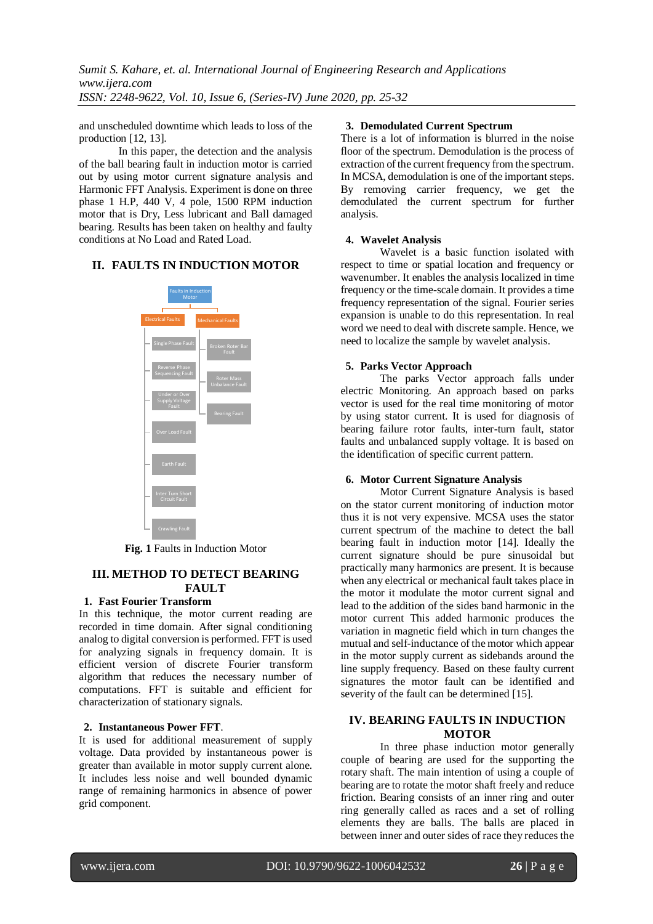and unscheduled downtime which leads to loss of the production [12, 13].

In this paper, the detection and the analysis of the ball bearing fault in induction motor is carried out by using motor current signature analysis and Harmonic FFT Analysis. Experiment is done on three phase 1 H.P, 440 V, 4 pole, 1500 RPM induction motor that is Dry, Less lubricant and Ball damaged bearing. Results has been taken on healthy and faulty conditions at No Load and Rated Load.

# **II. FAULTS IN INDUCTION MOTOR**



**Fig. 1** Faults in Induction Motor

## **III. METHOD TO DETECT BEARING FAULT**

## **1. Fast Fourier Transform**

In this technique, the motor current reading are recorded in time domain. After signal conditioning analog to digital conversion is performed. FFT is used for analyzing signals in frequency domain. It is efficient version of discrete Fourier transform algorithm that reduces the necessary number of computations. FFT is suitable and efficient for characterization of stationary signals.

## **2. Instantaneous Power FFT**.

It is used for additional measurement of supply voltage. Data provided by instantaneous power is greater than available in motor supply current alone. It includes less noise and well bounded dynamic range of remaining harmonics in absence of power grid component.

## **3. Demodulated Current Spectrum**

There is a lot of information is blurred in the noise floor of the spectrum. Demodulation is the process of extraction of the current frequency from the spectrum. In MCSA, demodulation is one of the important steps. By removing carrier frequency, we get the demodulated the current spectrum for further analysis.

## **4. Wavelet Analysis**

Wavelet is a basic function isolated with respect to time or spatial location and frequency or wavenumber. It enables the analysis localized in time frequency or the time-scale domain. It provides a time frequency representation of the signal. Fourier series expansion is unable to do this representation. In real word we need to deal with discrete sample. Hence, we need to localize the sample by wavelet analysis.

## **5. Parks Vector Approach**

The parks Vector approach falls under electric Monitoring. An approach based on parks vector is used for the real time monitoring of motor by using stator current. It is used for diagnosis of bearing failure rotor faults, inter-turn fault, stator faults and unbalanced supply voltage. It is based on the identification of specific current pattern.

## **6. Motor Current Signature Analysis**

Motor Current Signature Analysis is based on the stator current monitoring of induction motor thus it is not very expensive. MCSA uses the stator current spectrum of the machine to detect the ball bearing fault in induction motor [14]. Ideally the current signature should be pure sinusoidal but practically many harmonics are present. It is because when any electrical or mechanical fault takes place in the motor it modulate the motor current signal and lead to the addition of the sides band harmonic in the motor current This added harmonic produces the variation in magnetic field which in turn changes the mutual and self-inductance of the motor which appear in the motor supply current as sidebands around the line supply frequency. Based on these faulty current signatures the motor fault can be identified and severity of the fault can be determined [15].

## **IV. BEARING FAULTS IN INDUCTION MOTOR**

In three phase induction motor generally couple of bearing are used for the supporting the rotary shaft. The main intention of using a couple of bearing are to rotate the motor shaft freely and reduce friction. Bearing consists of an inner ring and outer ring generally called as races and a set of rolling elements they are balls. The balls are placed in between inner and outer sides of race they reduces the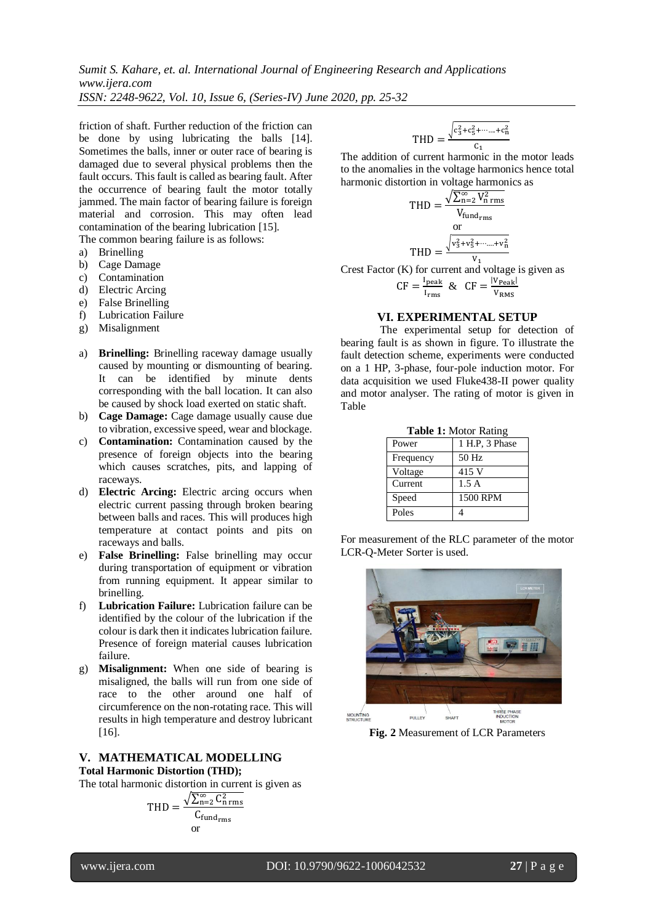friction of shaft. Further reduction of the friction can be done by using lubricating the balls [14]. Sometimes the balls, inner or outer race of bearing is damaged due to several physical problems then the fault occurs. This fault is called as bearing fault. After the occurrence of bearing fault the motor totally jammed. The main factor of bearing failure is foreign material and corrosion. This may often lead contamination of the bearing lubrication [15]. The common bearing failure is as follows:

a) Brinelling

- b) Cage Damage
- c) Contamination
- d) Electric Arcing
- e) False Brinelling
- f) Lubrication Failure
- g) Misalignment
- a) **Brinelling:** Brinelling raceway damage usually caused by mounting or dismounting of bearing. It can be identified by minute dents corresponding with the ball location. It can also be caused by shock load exerted on static shaft.
- b) **Cage Damage:** Cage damage usually cause due to vibration, excessive speed, wear and blockage.
- c) **Contamination:** Contamination caused by the presence of foreign objects into the bearing which causes scratches, pits, and lapping of raceways.
- d) **Electric Arcing:** Electric arcing occurs when electric current passing through broken bearing between balls and races. This will produces high temperature at contact points and pits on raceways and balls.
- e) **False Brinelling:** False brinelling may occur during transportation of equipment or vibration from running equipment. It appear similar to brinelling.
- f) **Lubrication Failure:** Lubrication failure can be identified by the colour of the lubrication if the colour is dark then it indicates lubrication failure. Presence of foreign material causes lubrication failure.
- g) **Misalignment:** When one side of bearing is misaligned, the balls will run from one side of race to the other around one half of circumference on the non-rotating race. This will results in high temperature and destroy lubricant [16].

#### **V. MATHEMATICAL MODELLING Total Harmonic Distortion (THD);**

The total harmonic distortion in current is given as

$$
THD = \frac{\sqrt{\sum_{n=2}^{\infty} C_{n}^{2} \, \text{rms}}}{C_{\text{fund}_{\text{rms}}}}
$$
\nor

$$
THD = \frac{\sqrt{c_3^2 + c_5^2 + \dots + c_n^2}}{c_1}
$$

The addition of current harmonic in the motor leads to the anomalies in the voltage harmonics hence total harmonic distortion in voltage harmonics as

$$
THD = \frac{\sqrt{\sum_{n=2}^{\infty} V_{n \text{ rms}}^2}}{V_{\text{fund}_{\text{rms}}}}
$$

$$
THD = \frac{\sqrt{v_3^2 + v_5^2 + \dots + v_n^2}}{v_1}
$$

Crest Factor (K) for current and voltage is given as

$$
CF = \frac{I_{\text{peak}}}{I_{\text{rms}}} \& \, CF = \frac{|V_{\text{Peak}}|}{V_{\text{RMS}}}
$$

#### **VI. EXPERIMENTAL SETUP**

The experimental setup for detection of bearing fault is as shown in figure. To illustrate the fault detection scheme, experiments were conducted on a 1 HP, 3-phase, four-pole induction motor. For data acquisition we used Fluke438-II power quality and motor analyser. The rating of motor is given in Table

|           | <b>LADIU L.</b> PROTOL INATILIZ |
|-----------|---------------------------------|
| Power     | 1 H.P. 3 Phase                  |
| Frequency | 50 Hz                           |
| Voltage   | 415 V                           |
| Current   | 1.5A                            |
| Speed     | 1500 RPM                        |
| Poles     |                                 |

**Table 1:** Motor Rating

For measurement of the RLC parameter of the motor LCR-Q-Meter Sorter is used.



**Fig. 2** Measurement of LCR Parameters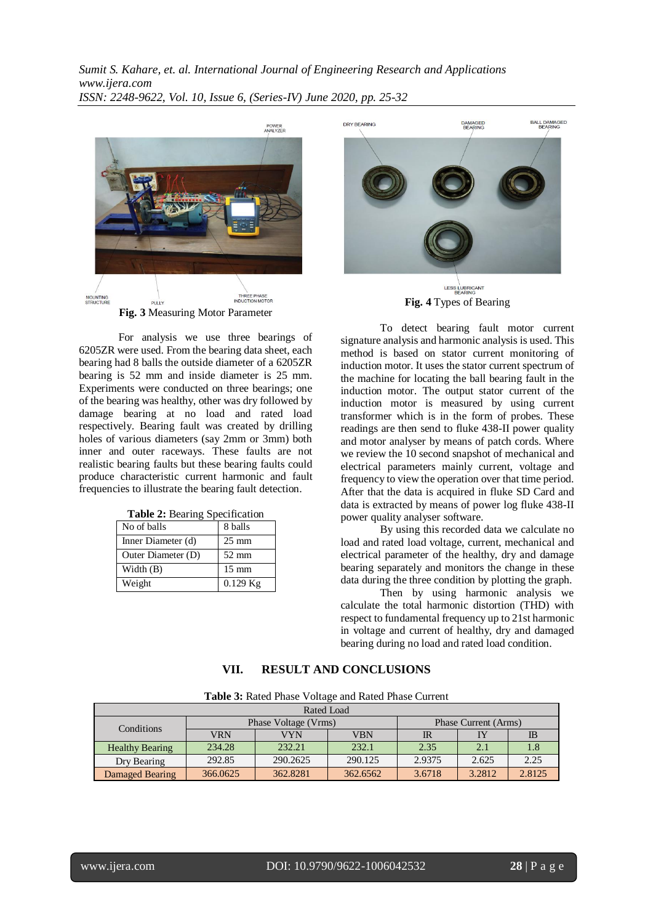

**Fig. 3** Measuring Motor Parameter

For analysis we use three bearings of 6205ZR were used. From the bearing data sheet, each bearing had 8 balls the outside diameter of a 6205ZR bearing is 52 mm and inside diameter is 25 mm. Experiments were conducted on three bearings; one of the bearing was healthy, other was dry followed by damage bearing at no load and rated load respectively. Bearing fault was created by drilling holes of various diameters (say 2mm or 3mm) both inner and outer raceways. These faults are not realistic bearing faults but these bearing faults could produce characteristic current harmonic and fault frequencies to illustrate the bearing fault detection.

| No of balls        | 8 balls         |
|--------------------|-----------------|
| Inner Diameter (d) | $25 \text{ mm}$ |
| Outer Diameter (D) | $52 \text{ mm}$ |
| Width $(B)$        | $15 \text{ mm}$ |
| Weight             | $0.129$ Kg      |

**Table 2:** Bearing Specification



To detect bearing fault motor current signature analysis and harmonic analysis is used. This method is based on stator current monitoring of induction motor. It uses the stator current spectrum of the machine for locating the ball bearing fault in the induction motor. The output stator current of the induction motor is measured by using current transformer which is in the form of probes. These readings are then send to fluke 438-II power quality and motor analyser by means of patch cords. Where we review the 10 second snapshot of mechanical and electrical parameters mainly current, voltage and frequency to view the operation over that time period. After that the data is acquired in fluke SD Card and data is extracted by means of power log fluke 438-II power quality analyser software.

By using this recorded data we calculate no load and rated load voltage, current, mechanical and electrical parameter of the healthy, dry and damage bearing separately and monitors the change in these data during the three condition by plotting the graph.

Then by using harmonic analysis we calculate the total harmonic distortion (THD) with respect to fundamental frequency up to 21st harmonic in voltage and current of healthy, dry and damaged bearing during no load and rated load condition.

## **VII. RESULT AND CONCLUSIONS**

**Table 3:** Rated Phase Voltage and Rated Phase Current

| Rated Load             |            |                      |                      |        |        |           |  |  |  |  |  |
|------------------------|------------|----------------------|----------------------|--------|--------|-----------|--|--|--|--|--|
| Conditions             |            | Phase Voltage (Vrms) | Phase Current (Arms) |        |        |           |  |  |  |  |  |
|                        | <b>VRN</b> | VYN                  | VBN                  | IR     | IY     | <b>IB</b> |  |  |  |  |  |
| <b>Healthy Bearing</b> | 234.28     | 232.21               | 232.1                | 2.35   | 2.1    | 1.8       |  |  |  |  |  |
| Dry Bearing            | 292.85     | 290.2625             | 290.125              | 2.9375 | 2.625  | 2.25      |  |  |  |  |  |
| Damaged Bearing        | 366.0625   | 362.8281             | 362.6562             | 3.6718 | 3.2812 | 2.8125    |  |  |  |  |  |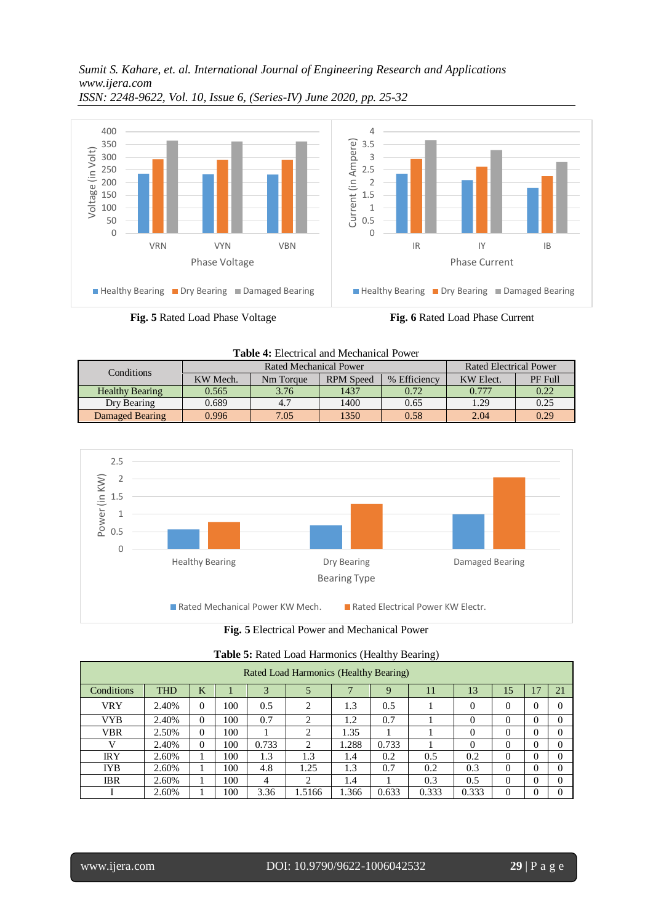*Sumit S. Kahare, et. al. International Journal of Engineering Research and Applications www.ijera.com*



*ISSN: 2248-9622, Vol. 10, Issue 6, (Series-IV) June 2020, pp. 25-32*





**Fig. 5** Electrical Power and Mechanical Power

|            | <b>Table 5:</b> Nated Load Harmonics (Healthy Bearing) |          |     |       |                |       |       |       |          |          |   |          |  |  |
|------------|--------------------------------------------------------|----------|-----|-------|----------------|-------|-------|-------|----------|----------|---|----------|--|--|
|            | Rated Load Harmonics (Healthy Bearing)                 |          |     |       |                |       |       |       |          |          |   |          |  |  |
| Conditions | K<br><b>THD</b><br>13<br>21<br>17<br>15<br>9<br>11     |          |     |       |                |       |       |       |          |          |   |          |  |  |
| <b>VRY</b> | 2.40%                                                  | $\theta$ | 100 | 0.5   | 2              | 1.3   | 0.5   |       | 0        | $\theta$ | 0 | $\Omega$ |  |  |
| VYB        | 2.40%                                                  | $\Omega$ | 100 | 0.7   | $\overline{c}$ | 1.2   | 0.7   |       | $\Omega$ | $\Omega$ | 0 | $\Omega$ |  |  |
| <b>VBR</b> | 2.50%                                                  | $\Omega$ | 100 |       | $\overline{c}$ | 1.35  |       |       | 0        | $\Omega$ | 0 | $\Omega$ |  |  |
|            | 2.40%                                                  | $\Omega$ | 100 | 0.733 | 2              | 1.288 | 0.733 |       | 0        | $\Omega$ | 0 | $\Omega$ |  |  |
| <b>IRY</b> | 2.60%                                                  |          | 100 | 1.3   | 1.3            | 1.4   | 0.2   | 0.5   | 0.2      | 0        | 0 | $\Omega$ |  |  |
| IYB        | 2.60%                                                  |          | 100 | 4.8   | 1.25           | 1.3   | 0.7   | 0.2   | 0.3      | $\Omega$ | 0 | $\Omega$ |  |  |
| <b>IBR</b> | 2.60%                                                  |          | 100 | 4     | ↑              | 1.4   |       | 0.3   | 0.5      | $\Omega$ | 0 | $\Omega$ |  |  |
|            | 2.60%                                                  |          | 100 | 3.36  | 1.5166         | 1.366 | 0.633 | 0.333 | 0.333    |          |   | $\Omega$ |  |  |

**Table 5:** Rated Load Harmonics (Healthy Bearing)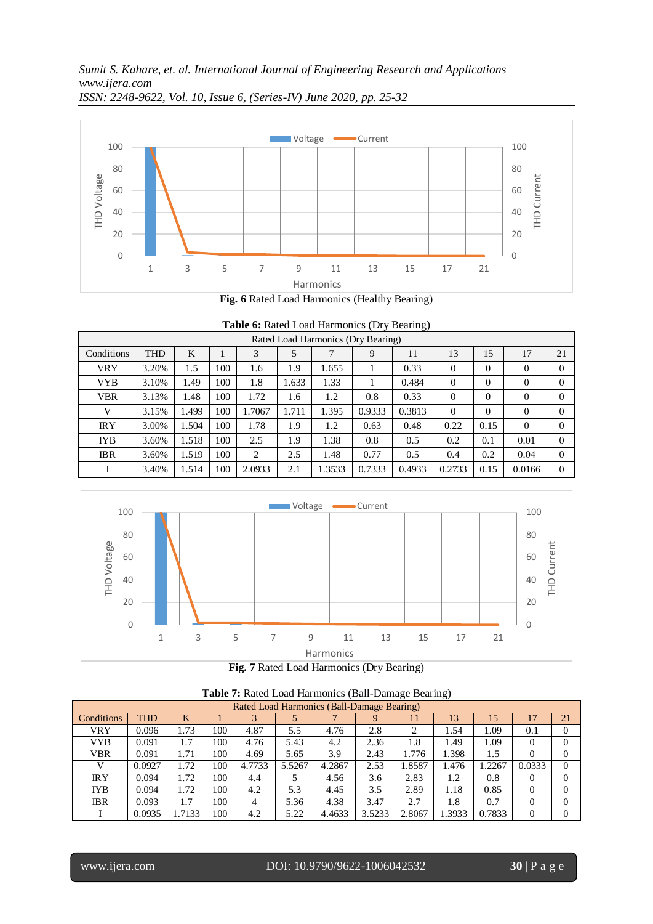



|  |  |  | Table 6: Rated Load Harmonics (Dry Bearing) |  |  |
|--|--|--|---------------------------------------------|--|--|
|--|--|--|---------------------------------------------|--|--|

| Rated Load Harmonics (Dry Bearing) |            |       |     |        |       |        |        |        |                |          |          |          |
|------------------------------------|------------|-------|-----|--------|-------|--------|--------|--------|----------------|----------|----------|----------|
| Conditions                         | <b>THD</b> | K     |     | 3      | 5     | 7      | 9      | 11     | 13             | 15       | 17       | 21       |
| VRY                                | 3.20%      | 1.5   | 100 | 1.6    | 1.9   | 1.655  |        | 0.33   | $\Omega$       | $\Omega$ | $\theta$ | $\Omega$ |
| <b>VYB</b>                         | 3.10%      | 1.49  | 100 | 1.8    | 1.633 | 1.33   |        | 0.484  | $\overline{0}$ | $\Omega$ | $\theta$ | $\Omega$ |
| <b>VBR</b>                         | 3.13%      | 1.48  | 100 | 1.72   | 1.6   | 1.2    | 0.8    | 0.33   | $\theta$       | $\Omega$ | $\theta$ | $\Omega$ |
| V                                  | 3.15%      | 1.499 | 100 | 1.7067 | 1.711 | 1.395  | 0.9333 | 0.3813 | $\Omega$       | $\Omega$ | $\theta$ | $\theta$ |
| <b>IRY</b>                         | 3.00%      | 1.504 | 100 | 1.78   | 1.9   | 1.2    | 0.63   | 0.48   | 0.22           | 0.15     | $\Omega$ | $\Omega$ |
| <b>IYB</b>                         | 3.60%      | 1.518 | 100 | 2.5    | 1.9   | 1.38   | 0.8    | 0.5    | 0.2            | 0.1      | 0.01     | $\Omega$ |
| <b>IBR</b>                         | 3.60%      | 1.519 | 100 | 2      | 2.5   | 1.48   | 0.77   | 0.5    | 0.4            | 0.2      | 0.04     | $\Omega$ |
|                                    | 3.40%      | 1.514 | 100 | 2.0933 | 2.1   | 1.3533 | 0.7333 | 0.4933 | 0.2733         | 0.15     | 0.0166   | $\Omega$ |





| <b>Table 7:</b> Rated Load Harmonics (Ball-Damage Bearing) |            |      |     |        |        |        |      |        |       |       |        |          |
|------------------------------------------------------------|------------|------|-----|--------|--------|--------|------|--------|-------|-------|--------|----------|
| Rated Load Harmonics (Ball-Damage Bearing)                 |            |      |     |        |        |        |      |        |       |       |        |          |
| Conditions                                                 | <b>THD</b> | K    |     |        |        |        |      |        | 13    |       |        | 21       |
| VRY                                                        | 0.096      | 1.73 | 100 | 4.87   | 5.5    | 4.76   | 2.8  |        | 1.54  | 1.09  | 0.1    |          |
| VYB                                                        | 0.091      | 1.7  | 100 | 4.76   | 5.43   | 4.2    | 2.36 | 1.8    | 1.49  | 1.09  |        |          |
| <b>VBR</b>                                                 | 0.091      | 1.71 | 100 | 4.69   | 5.65   | 3.9    | 2.43 | 1.776  | 1.398 |       |        |          |
|                                                            | 0.0927     | .72  | 100 | 4.7733 | 5.5267 | 4.2867 | 2.53 | 1.8587 | 1.476 | .2267 | 0.0333 |          |
| ΙRΥ                                                        | 0.094      | 1.72 | 100 | 4.4    |        | 4.56   | 3.6  | 2.83   |       | 0.8   |        |          |
| <b>IYB</b>                                                 | 0.094      | 1.72 | 100 | 4.2    | 5.3    | 4.45   | 3.5  | 2.89   | 1.18  | 0.85  |        |          |
| <b>IBR</b>                                                 | 0.093      |      | 100 |        | 5.36   | 4.38   | 3.47 | 2.7    | 1.8   | 0.7   |        | $\Omega$ |

**Table 7:** Rated Load Harmonics (Ball-Damage Bearing)

I  $\vert$  0.0935 | 1.7133 | 100 | 4.2 | 5.22 | 4.4633 | 3.5233 | 2.8067 | 1.3933 | 0.7833 | 0 | 0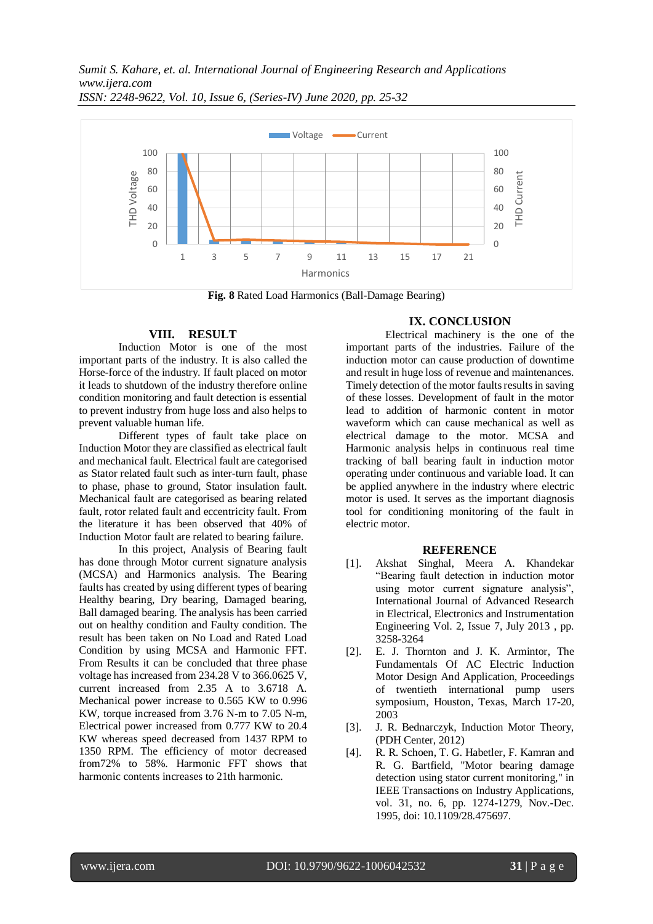

**Fig. 8** Rated Load Harmonics (Ball-Damage Bearing)

## **VIII. RESULT**

Induction Motor is one of the most important parts of the industry. It is also called the Horse-force of the industry. If fault placed on motor it leads to shutdown of the industry therefore online condition monitoring and fault detection is essential to prevent industry from huge loss and also helps to prevent valuable human life.

Different types of fault take place on Induction Motor they are classified as electrical fault and mechanical fault. Electrical fault are categorised as Stator related fault such as inter-turn fault, phase to phase, phase to ground, Stator insulation fault. Mechanical fault are categorised as bearing related fault, rotor related fault and eccentricity fault. From the literature it has been observed that 40% of Induction Motor fault are related to bearing failure.

In this project, Analysis of Bearing fault has done through Motor current signature analysis (MCSA) and Harmonics analysis. The Bearing faults has created by using different types of bearing Healthy bearing, Dry bearing, Damaged bearing, Ball damaged bearing. The analysis has been carried out on healthy condition and Faulty condition. The result has been taken on No Load and Rated Load Condition by using MCSA and Harmonic FFT. From Results it can be concluded that three phase voltage has increased from 234.28 V to 366.0625 V, current increased from 2.35 A to 3.6718 A. Mechanical power increase to 0.565 KW to 0.996 KW, torque increased from 3.76 N-m to 7.05 N-m, Electrical power increased from 0.777 KW to 20.4 KW whereas speed decreased from 1437 RPM to 1350 RPM. The efficiency of motor decreased from72% to 58%. Harmonic FFT shows that harmonic contents increases to 21th harmonic.

# **IX. CONCLUSION**

Electrical machinery is the one of the important parts of the industries. Failure of the induction motor can cause production of downtime and result in huge loss of revenue and maintenances. Timely detection of the motor faults results in saving of these losses. Development of fault in the motor lead to addition of harmonic content in motor waveform which can cause mechanical as well as electrical damage to the motor. MCSA and Harmonic analysis helps in continuous real time tracking of ball bearing fault in induction motor operating under continuous and variable load. It can be applied anywhere in the industry where electric motor is used. It serves as the important diagnosis tool for conditioning monitoring of the fault in electric motor.

#### **REFERENCE**

- [1]. Akshat Singhal, Meera A. Khandekar "Bearing fault detection in induction motor using motor current signature analysis", International Journal of Advanced Research in Electrical, Electronics and Instrumentation Engineering Vol. 2, Issue 7, July 2013 , pp. 3258-3264
- [2]. E. J. Thornton and J. K. Armintor, The Fundamentals Of AC Electric Induction Motor Design And Application, Proceedings of twentieth international pump users symposium, Houston, Texas, March 17-20, 2003
- [3]. J. R. Bednarczyk, Induction Motor Theory, (PDH Center, 2012)
- [4]. R. R. Schoen, T. G. Habetler, F. Kamran and R. G. Bartfield, "Motor bearing damage detection using stator current monitoring," in IEEE Transactions on Industry Applications, vol. 31, no. 6, pp. 1274-1279, Nov.-Dec. 1995, doi: 10.1109/28.475697.